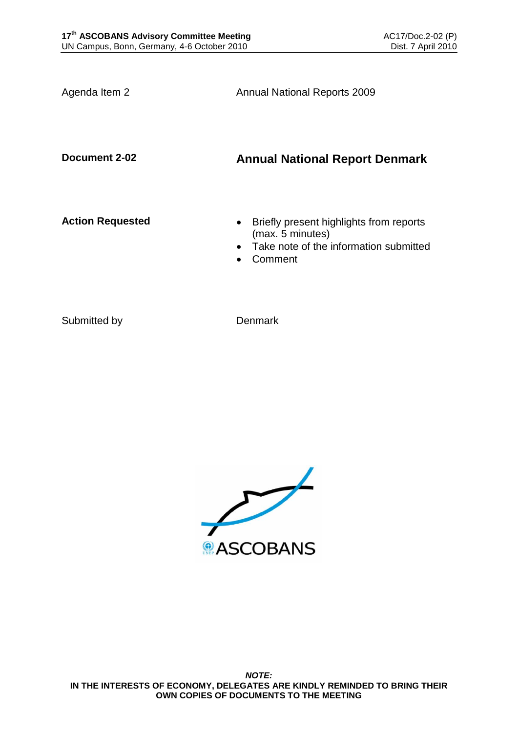Agenda Item 2 **Annual National Reports 2009** 

**Document 2-02 Annual National Report Denmark**

- **Action Requested Briefly present highlights from reports** (max. 5 minutes)
	- Take note of the information submitted
	- Comment

Submitted by Denmark

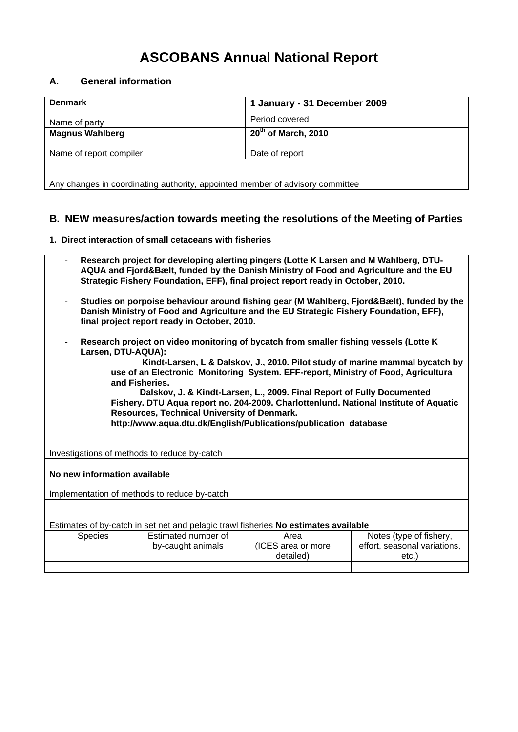## **ASCOBANS Annual National Report**

## **A. General information**

| <b>Denmark</b>                                                                | 1 January - 31 December 2009    |  |  |
|-------------------------------------------------------------------------------|---------------------------------|--|--|
| Name of party                                                                 | Period covered                  |  |  |
| <b>Magnus Wahlberg</b>                                                        | 20 <sup>th</sup> of March, 2010 |  |  |
| Name of report compiler                                                       | Date of report                  |  |  |
|                                                                               |                                 |  |  |
| Any changes in coordinating authority, appointed member of advisory committee |                                 |  |  |

## **B. NEW measures/action towards meeting the resolutions of the Meeting of Parties**

**1. Direct interaction of small cetaceans with fisheries** 

| Research project for developing alerting pingers (Lotte K Larsen and M Wahlberg, DTU-<br>۰<br>AQUA and Fjord&Bælt, funded by the Danish Ministry of Food and Agriculture and the EU<br>Strategic Fishery Foundation, EFF), final project report ready in October, 2010.                 |
|-----------------------------------------------------------------------------------------------------------------------------------------------------------------------------------------------------------------------------------------------------------------------------------------|
| Studies on porpoise behaviour around fishing gear (M Wahlberg, Fjord&Bælt), funded by the<br>٠.<br>Danish Ministry of Food and Agriculture and the EU Strategic Fishery Foundation, EFF),<br>final project report ready in October, 2010.                                               |
| Research project on video monitoring of bycatch from smaller fishing vessels (Lotte K)<br>۰.<br>Larsen, DTU-AQUA):<br>Kindt-Larsen, L & Dalskov, J., 2010. Pilot study of marine mammal bycatch by<br>use of an Electronic Menitering Cuctom, EEE reneat Ministry of Essel, Agriculture |

**use of an Electronic Monitoring System. EFF-report, Ministry of Food, Agricultura and Fisheries.** 

 **Dalskov, J. & Kindt-Larsen, L., 2009. Final Report of Fully Documented Fishery. DTU Aqua report no. 204-2009. Charlottenlund. National Institute of Aquatic Resources, Technical University of Denmark. http://www.aqua.dtu.dk/English/Publications/publication\_database** 

Investigations of methods to reduce by-catch

**No new information available** 

Implementation of methods to reduce by-catch

Estimates of by-catch in set net and pelagic trawl fisheries **No estimates available** 

| Species | Estimated number of | Area               | Notes (type of fishery,      |
|---------|---------------------|--------------------|------------------------------|
|         | by-caught animals   | (ICES area or more | effort, seasonal variations, |
|         |                     | detailed)          | etc.                         |
|         |                     |                    |                              |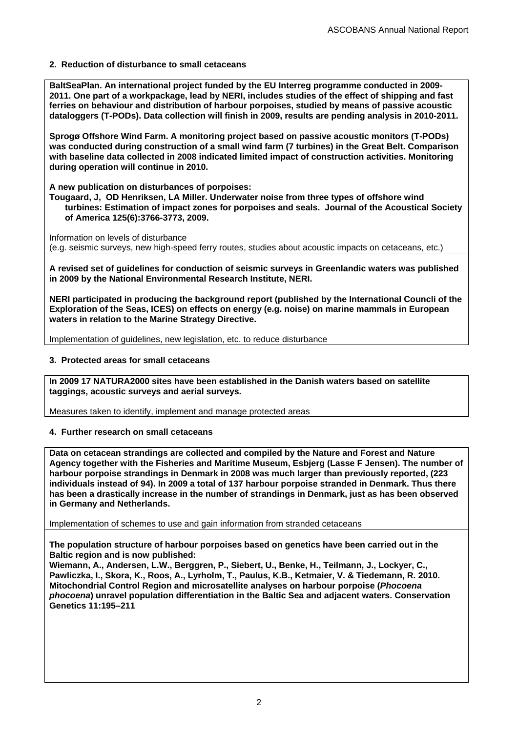**2. Reduction of disturbance to small cetaceans** 

**BaltSeaPlan. An international project funded by the EU Interreg programme conducted in 2009- 2011. One part of a workpackage, lead by NERI, includes studies of the effect of shipping and fast ferries on behaviour and distribution of harbour porpoises, studied by means of passive acoustic dataloggers (T-PODs). Data collection will finish in 2009, results are pending analysis in 2010-2011.** 

**Sprogø Offshore Wind Farm. A monitoring project based on passive acoustic monitors (T-PODs) was conducted during construction of a small wind farm (7 turbines) in the Great Belt. Comparison with baseline data collected in 2008 indicated limited impact of construction activities. Monitoring during operation will continue in 2010.** 

**A new publication on disturbances of porpoises:** 

**Tougaard, J, OD Henriksen, LA Miller. Underwater noise from three types of offshore wind turbines: Estimation of impact zones for porpoises and seals. Journal of the Acoustical Society of America 125(6):3766-3773, 2009.** 

Information on levels of disturbance (e.g. seismic surveys, new high-speed ferry routes, studies about acoustic impacts on cetaceans, etc.)

**A revised set of guidelines for conduction of seismic surveys in Greenlandic waters was published in 2009 by the National Environmental Research Institute, NERI.** 

**NERI participated in producing the background report (published by the International Councli of the Exploration of the Seas, ICES) on effects on energy (e.g. noise) on marine mammals in European waters in relation to the Marine Strategy Directive.** 

Implementation of guidelines, new legislation, etc. to reduce disturbance

**3. Protected areas for small cetaceans** 

**In 2009 17 NATURA2000 sites have been established in the Danish waters based on satellite taggings, acoustic surveys and aerial surveys.** 

Measures taken to identify, implement and manage protected areas

**4. Further research on small cetaceans** 

**Data on cetacean strandings are collected and compiled by the Nature and Forest and Nature Agency together with the Fisheries and Maritime Museum, Esbjerg (Lasse F Jensen). The number of harbour porpoise strandings in Denmark in 2008 was much larger than previously reported, (223 individuals instead of 94). In 2009 a total of 137 harbour porpoise stranded in Denmark. Thus there has been a drastically increase in the number of strandings in Denmark, just as has been observed in Germany and Netherlands.** 

Implementation of schemes to use and gain information from stranded cetaceans

**The population structure of harbour porpoises based on genetics have been carried out in the Baltic region and is now published:** 

**Wiemann, A., Andersen, L.W., Berggren, P., Siebert, U., Benke, H., Teilmann, J., Lockyer, C., Pawliczka, I., Skora, K., Roos, A., Lyrholm, T., Paulus, K.B., Ketmaier, V. & Tiedemann, R. 2010. Mitochondrial Control Region and microsatellite analyses on harbour porpoise (***Phocoena phocoena***) unravel population differentiation in the Baltic Sea and adjacent waters. Conservation Genetics 11:195–211**